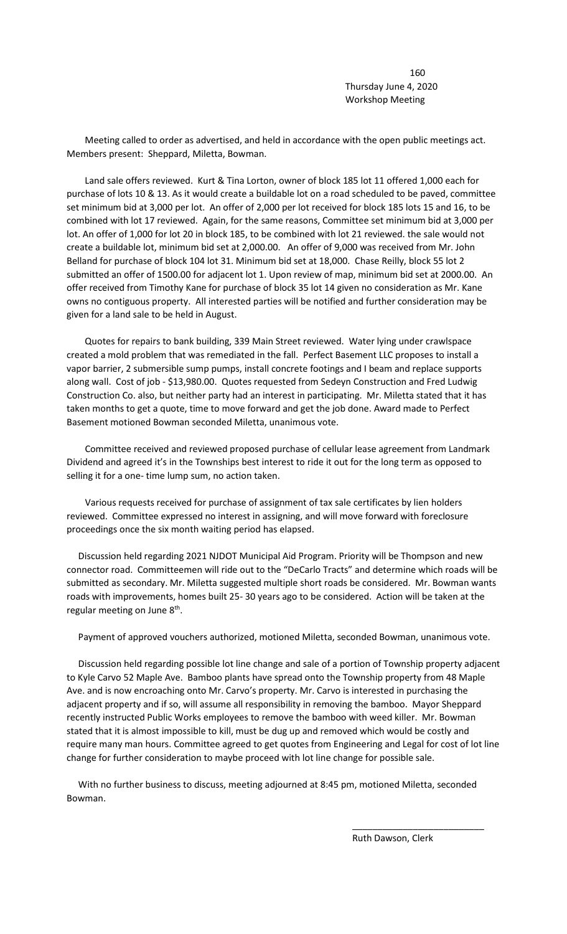160 Thursday June 4, 2020 Workshop Meeting

 Meeting called to order as advertised, and held in accordance with the open public meetings act. Members present: Sheppard, Miletta, Bowman.

 Land sale offers reviewed. Kurt & Tina Lorton, owner of block 185 lot 11 offered 1,000 each for purchase of lots 10 & 13. As it would create a buildable lot on a road scheduled to be paved, committee set minimum bid at 3,000 per lot. An offer of 2,000 per lot received for block 185 lots 15 and 16, to be combined with lot 17 reviewed. Again, for the same reasons, Committee set minimum bid at 3,000 per lot. An offer of 1,000 for lot 20 in block 185, to be combined with lot 21 reviewed. the sale would not create a buildable lot, minimum bid set at 2,000.00. An offer of 9,000 was received from Mr. John Belland for purchase of block 104 lot 31. Minimum bid set at 18,000. Chase Reilly, block 55 lot 2 submitted an offer of 1500.00 for adjacent lot 1. Upon review of map, minimum bid set at 2000.00. An offer received from Timothy Kane for purchase of block 35 lot 14 given no consideration as Mr. Kane owns no contiguous property. All interested parties will be notified and further consideration may be given for a land sale to be held in August.

 Quotes for repairs to bank building, 339 Main Street reviewed. Water lying under crawlspace created a mold problem that was remediated in the fall. Perfect Basement LLC proposes to install a vapor barrier, 2 submersible sump pumps, install concrete footings and I beam and replace supports along wall. Cost of job - \$13,980.00. Quotes requested from Sedeyn Construction and Fred Ludwig Construction Co. also, but neither party had an interest in participating. Mr. Miletta stated that it has taken months to get a quote, time to move forward and get the job done. Award made to Perfect Basement motioned Bowman seconded Miletta, unanimous vote.

 Committee received and reviewed proposed purchase of cellular lease agreement from Landmark Dividend and agreed it's in the Townships best interest to ride it out for the long term as opposed to selling it for a one- time lump sum, no action taken.

 Various requests received for purchase of assignment of tax sale certificates by lien holders reviewed. Committee expressed no interest in assigning, and will move forward with foreclosure proceedings once the six month waiting period has elapsed.

 Discussion held regarding 2021 NJDOT Municipal Aid Program. Priority will be Thompson and new connector road. Committeemen will ride out to the "DeCarlo Tracts" and determine which roads will be submitted as secondary. Mr. Miletta suggested multiple short roads be considered. Mr. Bowman wants roads with improvements, homes built 25- 30 years ago to be considered. Action will be taken at the regular meeting on June  $8<sup>th</sup>$ .

Payment of approved vouchers authorized, motioned Miletta, seconded Bowman, unanimous vote.

 Discussion held regarding possible lot line change and sale of a portion of Township property adjacent to Kyle Carvo 52 Maple Ave. Bamboo plants have spread onto the Township property from 48 Maple Ave. and is now encroaching onto Mr. Carvo's property. Mr. Carvo is interested in purchasing the adjacent property and if so, will assume all responsibility in removing the bamboo. Mayor Sheppard recently instructed Public Works employees to remove the bamboo with weed killer. Mr. Bowman stated that it is almost impossible to kill, must be dug up and removed which would be costly and require many man hours. Committee agreed to get quotes from Engineering and Legal for cost of lot line change for further consideration to maybe proceed with lot line change for possible sale.

 With no further business to discuss, meeting adjourned at 8:45 pm, motioned Miletta, seconded Bowman.

\_\_\_\_\_\_\_\_\_\_\_\_\_\_\_\_\_\_\_\_\_\_\_\_\_\_

Ruth Dawson, Clerk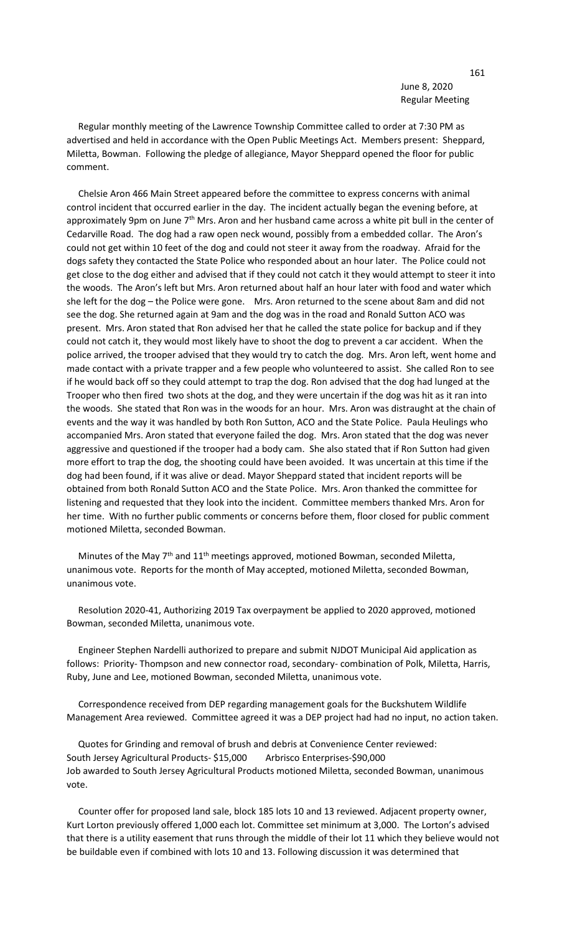## 161 June 8, 2020 Regular Meeting

 Regular monthly meeting of the Lawrence Township Committee called to order at 7:30 PM as advertised and held in accordance with the Open Public Meetings Act. Members present: Sheppard, Miletta, Bowman. Following the pledge of allegiance, Mayor Sheppard opened the floor for public comment.

 Chelsie Aron 466 Main Street appeared before the committee to express concerns with animal control incident that occurred earlier in the day. The incident actually began the evening before, at approximately 9pm on June 7<sup>th</sup> Mrs. Aron and her husband came across a white pit bull in the center of Cedarville Road. The dog had a raw open neck wound, possibly from a embedded collar. The Aron's could not get within 10 feet of the dog and could not steer it away from the roadway. Afraid for the dogs safety they contacted the State Police who responded about an hour later. The Police could not get close to the dog either and advised that if they could not catch it they would attempt to steer it into the woods. The Aron's left but Mrs. Aron returned about half an hour later with food and water which she left for the dog – the Police were gone. Mrs. Aron returned to the scene about 8am and did not see the dog. She returned again at 9am and the dog was in the road and Ronald Sutton ACO was present. Mrs. Aron stated that Ron advised her that he called the state police for backup and if they could not catch it, they would most likely have to shoot the dog to prevent a car accident. When the police arrived, the trooper advised that they would try to catch the dog. Mrs. Aron left, went home and made contact with a private trapper and a few people who volunteered to assist. She called Ron to see if he would back off so they could attempt to trap the dog. Ron advised that the dog had lunged at the Trooper who then fired two shots at the dog, and they were uncertain if the dog was hit as it ran into the woods. She stated that Ron was in the woods for an hour. Mrs. Aron was distraught at the chain of events and the way it was handled by both Ron Sutton, ACO and the State Police. Paula Heulings who accompanied Mrs. Aron stated that everyone failed the dog. Mrs. Aron stated that the dog was never aggressive and questioned if the trooper had a body cam. She also stated that if Ron Sutton had given more effort to trap the dog, the shooting could have been avoided. It was uncertain at this time if the dog had been found, if it was alive or dead. Mayor Sheppard stated that incident reports will be obtained from both Ronald Sutton ACO and the State Police. Mrs. Aron thanked the committee for listening and requested that they look into the incident. Committee members thanked Mrs. Aron for her time. With no further public comments or concerns before them, floor closed for public comment motioned Miletta, seconded Bowman.

Minutes of the May  $7<sup>th</sup>$  and  $11<sup>th</sup>$  meetings approved, motioned Bowman, seconded Miletta, unanimous vote. Reports for the month of May accepted, motioned Miletta, seconded Bowman, unanimous vote.

 Resolution 2020-41, Authorizing 2019 Tax overpayment be applied to 2020 approved, motioned Bowman, seconded Miletta, unanimous vote.

 Engineer Stephen Nardelli authorized to prepare and submit NJDOT Municipal Aid application as follows: Priority- Thompson and new connector road, secondary- combination of Polk, Miletta, Harris, Ruby, June and Lee, motioned Bowman, seconded Miletta, unanimous vote.

 Correspondence received from DEP regarding management goals for the Buckshutem Wildlife Management Area reviewed. Committee agreed it was a DEP project had had no input, no action taken.

 Quotes for Grinding and removal of brush and debris at Convenience Center reviewed: South Jersey Agricultural Products- \$15,000 Arbrisco Enterprises-\$90,000 Job awarded to South Jersey Agricultural Products motioned Miletta, seconded Bowman, unanimous vote.

 Counter offer for proposed land sale, block 185 lots 10 and 13 reviewed. Adjacent property owner, Kurt Lorton previously offered 1,000 each lot. Committee set minimum at 3,000. The Lorton's advised that there is a utility easement that runs through the middle of their lot 11 which they believe would not be buildable even if combined with lots 10 and 13. Following discussion it was determined that